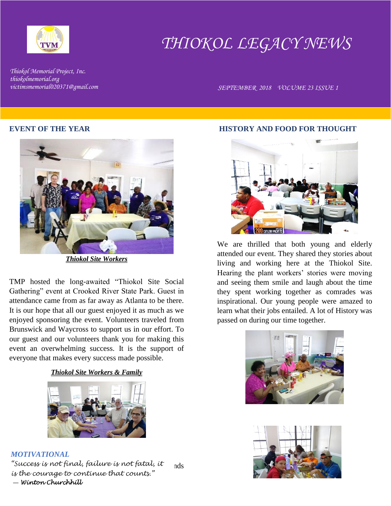

# *THIOKOL LEGACY NEWS*

*Thiokol Memorial Project, Inc. thiokolmemorial.org*

*victimsmemorial020371@gmail.com SEPTEMBER 2018 VOLUME 23 ISSUE 1* 

#### **EVENT OF THE YEAR**



*Thiokol Site Workers*

TMP hosted the long-awaited "Thiokol Site Social Gathering" event at Crooked River State Park. Guest in attendance came from as far away as Atlanta to be there. It is our hope that all our guest enjoyed it as much as we enjoyed sponsoring the event. Volunteers traveled from Brunswick and Waycross to support us in our effort. To our guest and our volunteers thank you for making this event an overwhelming success. It is the support of everyone that makes every success made possible.

## *Thiokol Site Workers & Family*



# *MOTIVATIONAL*

Your support "Made it Happen." Our success depends *"Success is not final, failure is not fatal, it*  upon everyone's support!!! *is the courage to continue that counts."* ― *Winton Churchhill* 

#### **HISTORY AND FOOD FOR THOUGHT**



We are thrilled that both young and elderly attended our event. They shared they stories about living and working here at the Thiokol Site. Hearing the plant workers' stories were moving and seeing them smile and laugh about the time they spent working together as comrades was inspirational. Our young people were amazed to learn what their jobs entailed. A lot of History was passed on during our time together.